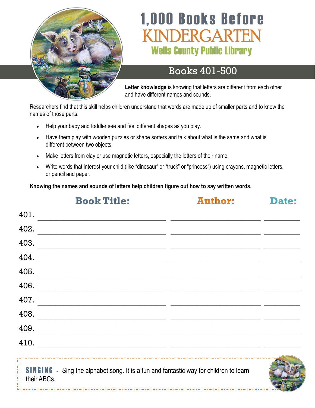

# **1,000 Books Before** VDERGARTEN **Wells County Public Library**

#### Books 401-500

**Letter knowledge** is knowing that letters are different from each other and have different names and sounds.

Researchers find that this skill helps children understand that words are made up of smaller parts and to know the names of those parts.

- Help your baby and toddler see and feel different shapes as you play.
- Have them play with wooden puzzles or shape sorters and talk about what is the same and what is different between two objects.
- Make letters from clay or use magnetic letters, especially the letters of their name.
- Write words that interest your child (like "dinosaur" or "truck" or "princess") using crayons, magnetic letters, or pencil and paper.

**Knowing the names and sounds of letters help children figure out how to say written words.**

|             | <b>Book Title:</b>                                                                                                     | <b>Author:</b> | Date: |
|-------------|------------------------------------------------------------------------------------------------------------------------|----------------|-------|
| 401.        |                                                                                                                        |                |       |
| 402.        |                                                                                                                        |                |       |
| 403.        | <u> 1980 - Andrea Aonaich, ann an Aonaich an t-Èireann an t-Èireann an t-Èireann an t-Èireann an t-Èireann an t-Èi</u> |                |       |
| 404.        |                                                                                                                        |                |       |
| 405.        | <u> 1990 - Johann Barn, fransk politik (f. 1980)</u>                                                                   |                |       |
| 406.        |                                                                                                                        |                |       |
| 407.        | <u> 1990 - Jan James James Barnett, amerikan berlindar (h. 1980).</u>                                                  |                |       |
| 408.        |                                                                                                                        |                |       |
| 409.        |                                                                                                                        |                |       |
| 410.        | <u> 1989 - John Stein, Amerikaansk politiker (* 1989)</u>                                                              |                |       |
| their ABCs. | <b>SINGING</b> - Sing the alphabet song. It is a fun and fantastic way for children to learn                           |                |       |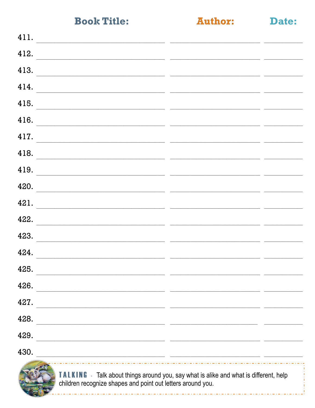**Author:** 

Date:

| 411.<br><u> 1989 - Johann Stoff, Amerikaansk politiker (* 1989)</u>                                                            |                                                                                                                                                                                                                                       |  |
|--------------------------------------------------------------------------------------------------------------------------------|---------------------------------------------------------------------------------------------------------------------------------------------------------------------------------------------------------------------------------------|--|
| 412.                                                                                                                           |                                                                                                                                                                                                                                       |  |
| 413.<br>the contract of the contract of the contract of the contract of the contract of the contract of the                    |                                                                                                                                                                                                                                       |  |
| 414.<br><u> 1999 - Jacques Maria de la Carlo de la Carlo de la Carlo de la Carlo de la Carlo de la Carlo de la Carlo de l</u>  |                                                                                                                                                                                                                                       |  |
| 415.<br><u> 1999 - John Stone, Amerikaans van die Stone van die Stone van die Stone van die Stone van die Stone van die S</u>  |                                                                                                                                                                                                                                       |  |
| 416.<br><u> 1980 - Jan Samuel Barbara, margaret eta idazlea (h. 1980).</u>                                                     |                                                                                                                                                                                                                                       |  |
| 417.                                                                                                                           |                                                                                                                                                                                                                                       |  |
| 418.<br><u> 1980 - Johann Barn, mars eta bat erroman eta bat erroman erroman ezkin erroman ez erroman ez erroman ez erroma</u> |                                                                                                                                                                                                                                       |  |
| 419.<br><u> 1990 - Jan Sarajević, politika i postala i postala i postala i postala i postala i postala i postala i postal</u>  |                                                                                                                                                                                                                                       |  |
| 420.                                                                                                                           |                                                                                                                                                                                                                                       |  |
| 421.                                                                                                                           |                                                                                                                                                                                                                                       |  |
| 422.<br><u> 2000 - Andrea Andrew Amerikaanse kommunister (het die volgens die volgens van die volgens van die volgens van</u>  |                                                                                                                                                                                                                                       |  |
| 423.                                                                                                                           |                                                                                                                                                                                                                                       |  |
| 424.<br><u> 1999 - Jacques Alexandro II, poeta estado en la contrada de la contrada de la contrada de la contrada de la c</u>  |                                                                                                                                                                                                                                       |  |
| 425.                                                                                                                           |                                                                                                                                                                                                                                       |  |
| 426.                                                                                                                           |                                                                                                                                                                                                                                       |  |
| 427.                                                                                                                           |                                                                                                                                                                                                                                       |  |
| 428.                                                                                                                           |                                                                                                                                                                                                                                       |  |
| 429.                                                                                                                           |                                                                                                                                                                                                                                       |  |
| 430.<br><u> 1989 - John Stein, Amerikaansk konstantinopler († 1908)</u>                                                        |                                                                                                                                                                                                                                       |  |
|                                                                                                                                | $\mathbf{u}$ and $\mathbf{u}$ are the contract of the contract of the contract of the contract of the contract of the contract of the contract of the contract of the contract of the contract of the contract of the contract of the |  |



TALKING - Talk about things around you, say what is alike and what is different, help children recognize shapes and point out letters around you.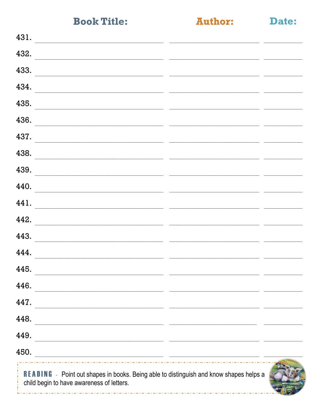**Author:** 

Date:

| 431.                                                                                                                                                                                                                                  |  |  |
|---------------------------------------------------------------------------------------------------------------------------------------------------------------------------------------------------------------------------------------|--|--|
| 432.                                                                                                                                                                                                                                  |  |  |
| 433.<br>the control of the control of the control of the control of the control of the control of the control of the control of the control of the control of the control of the control of the control of the control of the control |  |  |
| 434.<br><u> 1980 - Johann Barbara, martxa alemaniar argumento estas estas estas en la contrada de la contrada de la contra</u>                                                                                                        |  |  |
| 435.                                                                                                                                                                                                                                  |  |  |
| 436.<br>the control of the control of the control of the control of the control of the control of                                                                                                                                     |  |  |
| 437.<br><u> 1989 - Johann John Stone, markin film yn y brening yn y brening yn y brening yn y brening yn y brening yn y b</u>                                                                                                         |  |  |
| 438.                                                                                                                                                                                                                                  |  |  |
| 439.                                                                                                                                                                                                                                  |  |  |
| 440.                                                                                                                                                                                                                                  |  |  |
| 441.                                                                                                                                                                                                                                  |  |  |
| 442.                                                                                                                                                                                                                                  |  |  |
| 443.                                                                                                                                                                                                                                  |  |  |
| 444.                                                                                                                                                                                                                                  |  |  |
| 445.                                                                                                                                                                                                                                  |  |  |
| 446.                                                                                                                                                                                                                                  |  |  |
| 447.                                                                                                                                                                                                                                  |  |  |
| 448.                                                                                                                                                                                                                                  |  |  |
| 449.                                                                                                                                                                                                                                  |  |  |
| 450.                                                                                                                                                                                                                                  |  |  |
| <b>CONTRACTOR</b><br>i Timor                                                                                                                                                                                                          |  |  |

READING - Point out shapes in books. Being able to distinguish and know shapes helps a child begin to have awareness of letters.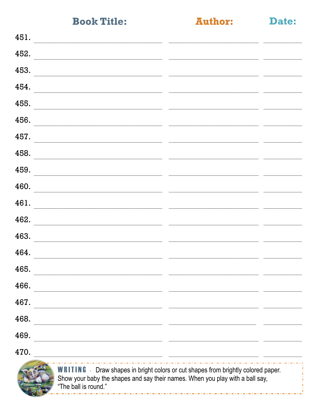**Author:** 

Date:

| 451.                                                                                                                                                                                                                                  |                                                                                                                                                                                                                                      |                          |
|---------------------------------------------------------------------------------------------------------------------------------------------------------------------------------------------------------------------------------------|--------------------------------------------------------------------------------------------------------------------------------------------------------------------------------------------------------------------------------------|--------------------------|
| 452.                                                                                                                                                                                                                                  | <u> 1990 - Jan Alexandro Alexandro Alexandro (h. 1980).</u>                                                                                                                                                                          |                          |
| 453.<br><u> 1980 - John Stein, Amerikaansk kanton (</u>                                                                                                                                                                               | <u> 1999 - Johann John Stone, mars and de la provincia de la provincia de la provincia de la provincia de la provi</u>                                                                                                               |                          |
| 454.                                                                                                                                                                                                                                  |                                                                                                                                                                                                                                      |                          |
| 455.                                                                                                                                                                                                                                  | <u> 1990 - Jan Alexander Alexander (h. 1980).</u><br>1900 - Johann Barn, fransk politik amerikansk politik (h. 1900).                                                                                                                |                          |
| 456.<br>the control of the control of the control of the control of the control of the control of the control of the control of the control of the control of the control of the control of the control of the control of the control | <u> The Communication of the Communication of the Communication of the Communication of the Communication of the Communication of the Communication of the Communication of the Communication of the Communication of the Commun</u> |                          |
| 457.                                                                                                                                                                                                                                  |                                                                                                                                                                                                                                      |                          |
| 458.<br>the contract of the contract of the contract of the contract of the contract of the contract of                                                                                                                               |                                                                                                                                                                                                                                      |                          |
| 459.                                                                                                                                                                                                                                  | <u> 2000 - Jan James Alexandri, martin alemaniar (h. 2000).</u>                                                                                                                                                                      | <b>Contract Contract</b> |
| 460.                                                                                                                                                                                                                                  | <u> 1999 - Jacques Alexandro III, poet e alexandro de la contrada de la contrada de la contrada de la contrada d</u>                                                                                                                 |                          |
| 461.                                                                                                                                                                                                                                  |                                                                                                                                                                                                                                      |                          |
| 462.<br><u> 1980 - Jan Barbara, martin a shekara 1980 - An tsara 1980 - An tsara 1980 - An tsara 1980 - An tsara 1980 - A</u>                                                                                                         |                                                                                                                                                                                                                                      |                          |
| 463.                                                                                                                                                                                                                                  |                                                                                                                                                                                                                                      |                          |
| 464.                                                                                                                                                                                                                                  |                                                                                                                                                                                                                                      |                          |
| 465.                                                                                                                                                                                                                                  |                                                                                                                                                                                                                                      |                          |
| 466.                                                                                                                                                                                                                                  | <u> 1989 - Johann Stoff, deutscher Stoff, der Stoff, der Stoff, der Stoff, der Stoff, der Stoff, der Stoff, der S</u>                                                                                                                |                          |
| 467.                                                                                                                                                                                                                                  | <u> 1989 - Jan Samuel Barbara, margaret eta biztanleria (h. 1989).</u>                                                                                                                                                               |                          |
| 468.                                                                                                                                                                                                                                  | <u> 1989 - Johann Stoff, deutscher Stoffen und der Stoffen und der Stoffen und der Stoffen und der Stoffen und der</u>                                                                                                               |                          |
| 469.                                                                                                                                                                                                                                  | <u> 1989 - Jan James James Sandarík (f. 1989)</u>                                                                                                                                                                                    |                          |
| 470.                                                                                                                                                                                                                                  | <u> 1990 - Jacques Alexandro III, poeta estadounidense de la contradición de la contradición de la contradición d</u>                                                                                                                |                          |
|                                                                                                                                                                                                                                       | WRITING Draw shangs in bright colors or cut shangs from brightly colored paper                                                                                                                                                       |                          |



**WRITING** - Draw shapes in bright colors or cut shapes from brightly colored paper.<br>Show your baby the shapes and say their names. When you play with a ball say, "The ball is round."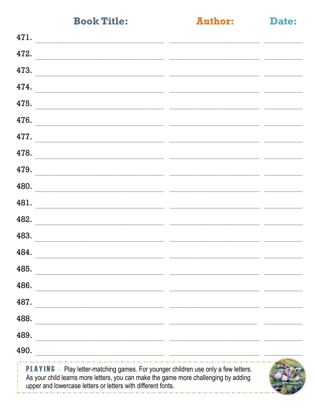**Author:** 

|  | the contract of the contract of | - 3<br>. . |  |
|--|---------------------------------|------------|--|

| 471.                                                                                                                                                                                                                                         |  |
|----------------------------------------------------------------------------------------------------------------------------------------------------------------------------------------------------------------------------------------------|--|
| 472.                                                                                                                                                                                                                                         |  |
| 473.                                                                                                                                                                                                                                         |  |
| 474.                                                                                                                                                                                                                                         |  |
| 475.<br><u> 1990 - John Stein, Amerikaans en beskriuwer in de Fryske kommunister en beskriuwer in de Fryske kommunister o</u>                                                                                                                |  |
| 476.                                                                                                                                                                                                                                         |  |
| 477.                                                                                                                                                                                                                                         |  |
| 478.                                                                                                                                                                                                                                         |  |
| 479.                                                                                                                                                                                                                                         |  |
| 480.                                                                                                                                                                                                                                         |  |
| 481.                                                                                                                                                                                                                                         |  |
| 482.<br><u> 1980 - Jan Salam Barat, masa kacamatan ing Kabupaten Ing Kabupaten Ing Kabupaten Ing Kabupaten Ing Kabupaten Ing Kabupaten Ing Kabupaten Ing Kabupaten Ing Kabupaten Ing Kabupaten Ing Kabupaten Ing Kabupaten Ing Kabupaten</u> |  |
| 483.                                                                                                                                                                                                                                         |  |
| 484.<br><u> 1989 - Johann Harry Harry Harry Harry Harry Harry Harry Harry Harry Harry Harry Harry Harry Harry Harry Harry</u>                                                                                                                |  |
| 485.                                                                                                                                                                                                                                         |  |
| 486.<br><u> 1989 - Johann Harry Harry Harry Harry Harry Harry Harry Harry Harry Harry Harry Harry Harry Harry Harry Harry</u>                                                                                                                |  |
| 487.<br><u> 1980 - Jan James James Barnett, amerikan basar personal (h. 1980).</u>                                                                                                                                                           |  |
| 488.<br><u> 1989 - Jan Alexandri, prima matematika eta politika (h. 1989).</u>                                                                                                                                                               |  |
| 489.<br><u> 1989 - Johann Stoff, deutscher Stoff, der Stoff, der Stoff, der Stoff, der Stoff, der Stoff, der Stoff, der S</u>                                                                                                                |  |
| 490.<br><u> 2000 - Andrea State Barbara, amerikan personal di personal dengan personal di personal dengan personal di pe</u>                                                                                                                 |  |
| <b>PLAYING</b> - Play letter-matching games. For younger children use only a few letters.<br>As your child learns more letters, you can make the game more challenging by adding                                                             |  |

upper and lowercase letters or letters with different fonts. الموارد الموارد الموارد الموارد الموارد الموارد الموارد الموارد الموارد الموارد الموارد الموارد الموارد الموارد